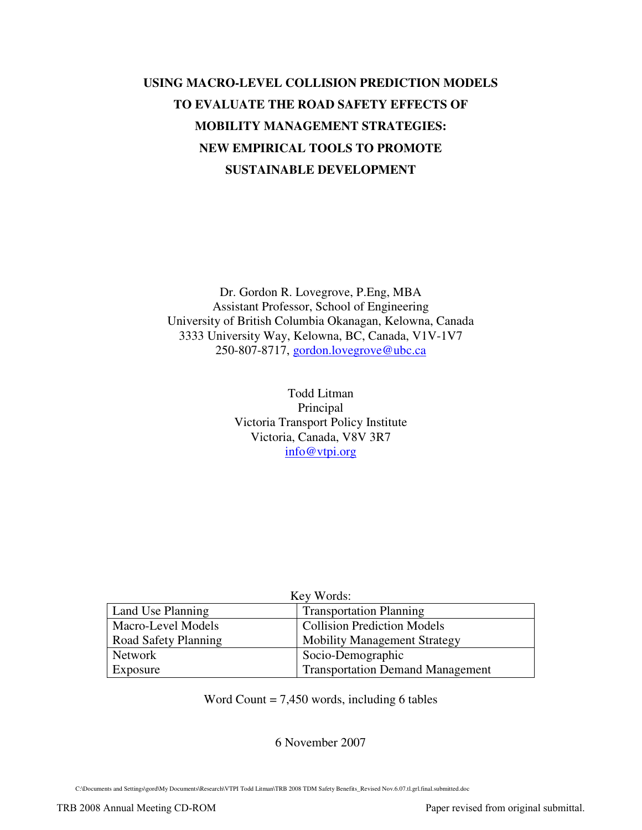# **USING MACRO-LEVEL COLLISION PREDICTION MODELS TO EVALUATE THE ROAD SAFETY EFFECTS OF MOBILITY MANAGEMENT STRATEGIES: NEW EMPIRICAL TOOLS TO PROMOTE SUSTAINABLE DEVELOPMENT**

Dr. Gordon R. Lovegrove, P.Eng, MBA Assistant Professor, School of Engineering University of British Columbia Okanagan, Kelowna, Canada 3333 University Way, Kelowna, BC, Canada, V1V-1V7 250-807-8717, gordon.lovegrove@ubc.ca

> Todd Litman Principal Victoria Transport Policy Institute Victoria, Canada, V8V 3R7 info@vtpi.org

| Key Words:           |                                         |  |  |  |  |  |
|----------------------|-----------------------------------------|--|--|--|--|--|
| Land Use Planning    | <b>Transportation Planning</b>          |  |  |  |  |  |
| Macro-Level Models   | <b>Collision Prediction Models</b>      |  |  |  |  |  |
| Road Safety Planning | <b>Mobility Management Strategy</b>     |  |  |  |  |  |
| Network              | Socio-Demographic                       |  |  |  |  |  |
| Exposure             | <b>Transportation Demand Management</b> |  |  |  |  |  |

Word Count = 7,450 words, including 6 tables

## 6 November 2007

C:\Documents and Settings\gord\My Documents\Research\VTPI Todd Litman\TRB 2008 TDM Safety Benefits\_Revised Nov.6.07.tl.grl.final.submitted.doc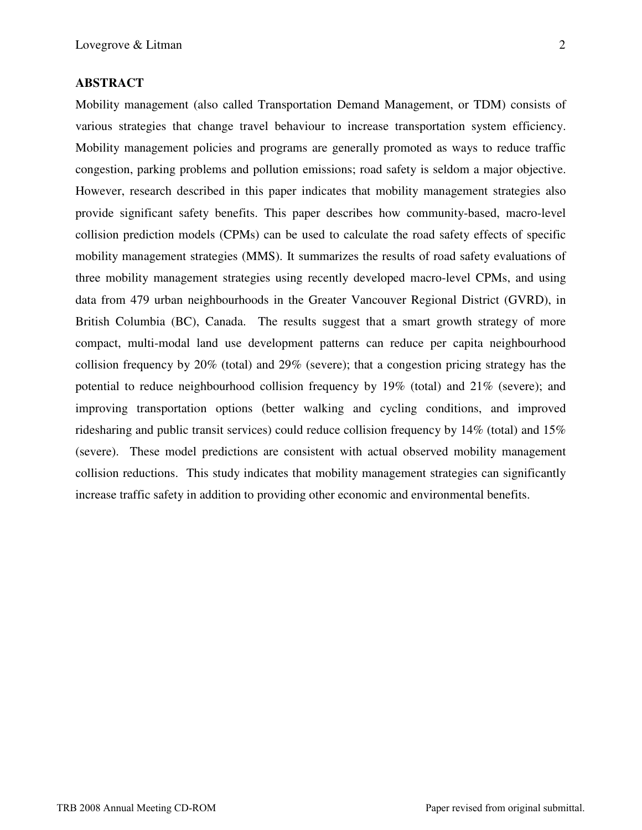Mobility management (also called Transportation Demand Management, or TDM) consists of various strategies that change travel behaviour to increase transportation system efficiency. Mobility management policies and programs are generally promoted as ways to reduce traffic congestion, parking problems and pollution emissions; road safety is seldom a major objective. However, research described in this paper indicates that mobility management strategies also provide significant safety benefits. This paper describes how community-based, macro-level collision prediction models (CPMs) can be used to calculate the road safety effects of specific mobility management strategies (MMS). It summarizes the results of road safety evaluations of three mobility management strategies using recently developed macro-level CPMs, and using data from 479 urban neighbourhoods in the Greater Vancouver Regional District (GVRD), in British Columbia (BC), Canada. The results suggest that a smart growth strategy of more compact, multi-modal land use development patterns can reduce per capita neighbourhood collision frequency by  $20\%$  (total) and  $29\%$  (severe); that a congestion pricing strategy has the potential to reduce neighbourhood collision frequency by 19% (total) and 21% (severe); and improving transportation options (better walking and cycling conditions, and improved ridesharing and public transit services) could reduce collision frequency by 14% (total) and 15% (severe). These model predictions are consistent with actual observed mobility management collision reductions. This study indicates that mobility management strategies can significantly increase traffic safety in addition to providing other economic and environmental benefits.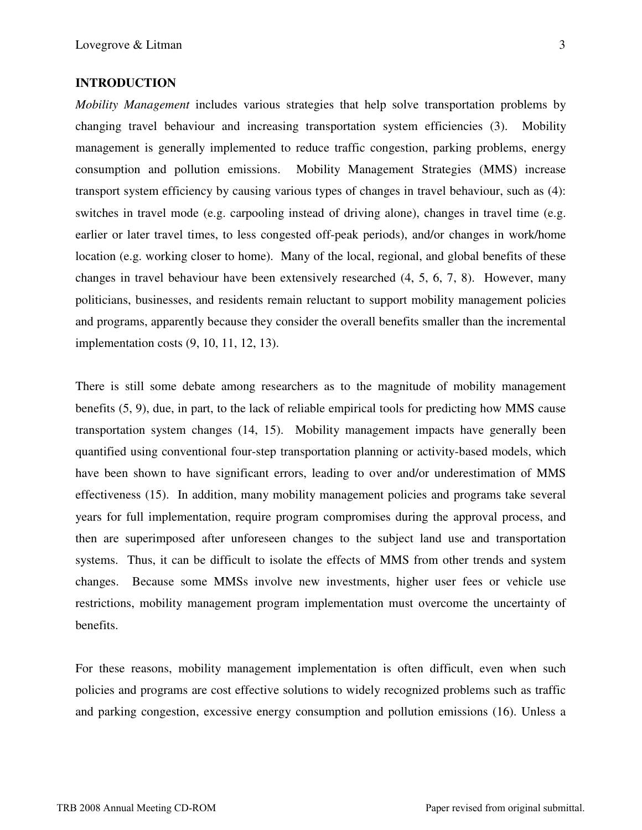## **INTRODUCTION**

*Mobility Management* includes various strategies that help solve transportation problems by changing travel behaviour and increasing transportation system efficiencies (3). Mobility management is generally implemented to reduce traffic congestion, parking problems, energy consumption and pollution emissions. Mobility Management Strategies (MMS) increase transport system efficiency by causing various types of changes in travel behaviour, such as (4): switches in travel mode (e.g. carpooling instead of driving alone), changes in travel time (e.g. earlier or later travel times, to less congested off-peak periods), and/or changes in work/home location (e.g. working closer to home). Many of the local, regional, and global benefits of these changes in travel behaviour have been extensively researched (4, 5, 6, 7, 8). However, many politicians, businesses, and residents remain reluctant to support mobility management policies and programs, apparently because they consider the overall benefits smaller than the incremental implementation costs (9, 10, 11, 12, 13).

There is still some debate among researchers as to the magnitude of mobility management benefits (5, 9), due, in part, to the lack of reliable empirical tools for predicting how MMS cause transportation system changes (14, 15). Mobility management impacts have generally been quantified using conventional four-step transportation planning or activity-based models, which have been shown to have significant errors, leading to over and/or underestimation of MMS effectiveness (15). In addition, many mobility management policies and programs take several years for full implementation, require program compromises during the approval process, and then are superimposed after unforeseen changes to the subject land use and transportation systems. Thus, it can be difficult to isolate the effects of MMS from other trends and system changes. Because some MMSs involve new investments, higher user fees or vehicle use restrictions, mobility management program implementation must overcome the uncertainty of benefits.

For these reasons, mobility management implementation is often difficult, even when such policies and programs are cost effective solutions to widely recognized problems such as traffic and parking congestion, excessive energy consumption and pollution emissions (16). Unless a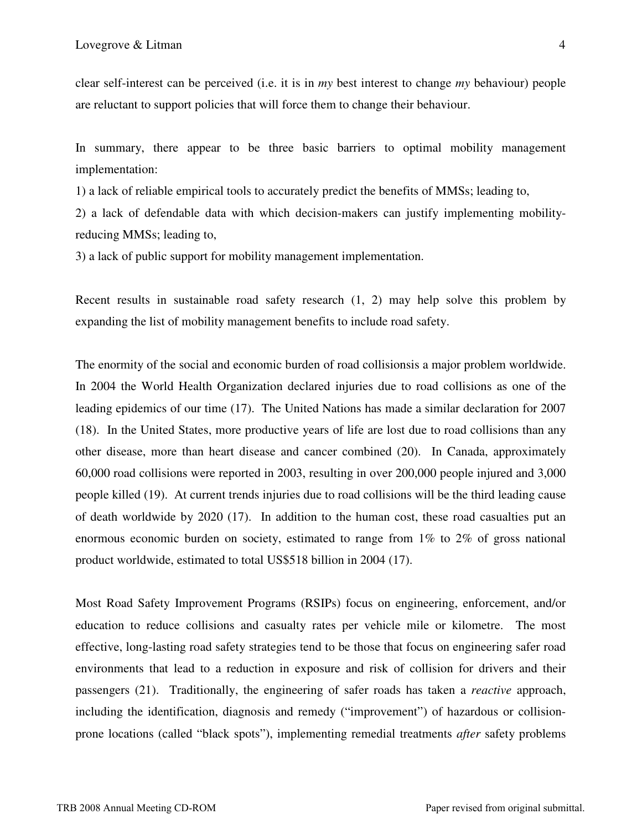clear self-interest can be perceived (i.e. it is in *my* best interest to change *my* behaviour) people are reluctant to support policies that will force them to change their behaviour.

In summary, there appear to be three basic barriers to optimal mobility management implementation:

1) a lack of reliable empirical tools to accurately predict the benefits of MMSs; leading to,

2) a lack of defendable data with which decision-makers can justify implementing mobilityreducing MMSs; leading to,

3) a lack of public support for mobility management implementation.

Recent results in sustainable road safety research (1, 2) may help solve this problem by expanding the list of mobility management benefits to include road safety.

The enormity of the social and economic burden of road collisionsis a major problem worldwide. In 2004 the World Health Organization declared injuries due to road collisions as one of the leading epidemics of our time (17). The United Nations has made a similar declaration for 2007 (18). In the United States, more productive years of life are lost due to road collisions than any other disease, more than heart disease and cancer combined (20). In Canada, approximately 60,000 road collisions were reported in 2003, resulting in over 200,000 people injured and 3,000 people killed (19). At current trends injuries due to road collisions will be the third leading cause of death worldwide by 2020 (17). In addition to the human cost, these road casualties put an enormous economic burden on society, estimated to range from 1% to 2% of gross national product worldwide, estimated to total US\$518 billion in 2004 (17).

Most Road Safety Improvement Programs (RSIPs) focus on engineering, enforcement, and/or education to reduce collisions and casualty rates per vehicle mile or kilometre. The most effective, long-lasting road safety strategies tend to be those that focus on engineering safer road environments that lead to a reduction in exposure and risk of collision for drivers and their passengers (21). Traditionally, the engineering of safer roads has taken a *reactive* approach, including the identification, diagnosis and remedy ("improvement") of hazardous or collisionprone locations (called "black spots"), implementing remedial treatments *after* safety problems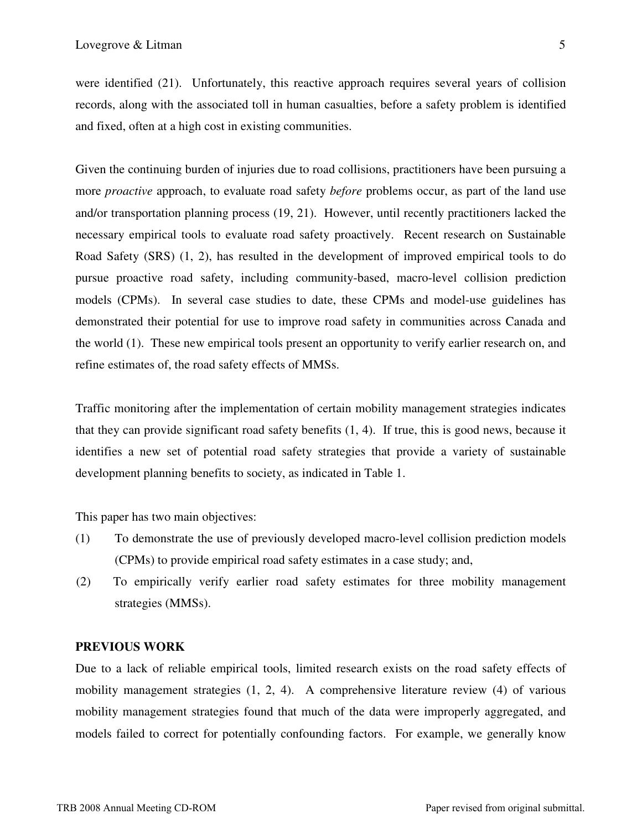were identified (21). Unfortunately, this reactive approach requires several years of collision records, along with the associated toll in human casualties, before a safety problem is identified and fixed, often at a high cost in existing communities.

Given the continuing burden of injuries due to road collisions, practitioners have been pursuing a more *proactive* approach, to evaluate road safety *before* problems occur, as part of the land use and/or transportation planning process (19, 21). However, until recently practitioners lacked the necessary empirical tools to evaluate road safety proactively. Recent research on Sustainable Road Safety (SRS) (1, 2), has resulted in the development of improved empirical tools to do pursue proactive road safety, including community-based, macro-level collision prediction models (CPMs). In several case studies to date, these CPMs and model-use guidelines has demonstrated their potential for use to improve road safety in communities across Canada and the world (1). These new empirical tools present an opportunity to verify earlier research on, and refine estimates of, the road safety effects of MMSs.

Traffic monitoring after the implementation of certain mobility management strategies indicates that they can provide significant road safety benefits (1, 4). If true, this is good news, because it identifies a new set of potential road safety strategies that provide a variety of sustainable development planning benefits to society, as indicated in Table 1.

This paper has two main objectives:

- (1) To demonstrate the use of previously developed macro-level collision prediction models (CPMs) to provide empirical road safety estimates in a case study; and,
- (2) To empirically verify earlier road safety estimates for three mobility management strategies (MMSs).

## **PREVIOUS WORK**

Due to a lack of reliable empirical tools, limited research exists on the road safety effects of mobility management strategies (1, 2, 4). A comprehensive literature review (4) of various mobility management strategies found that much of the data were improperly aggregated, and models failed to correct for potentially confounding factors. For example, we generally know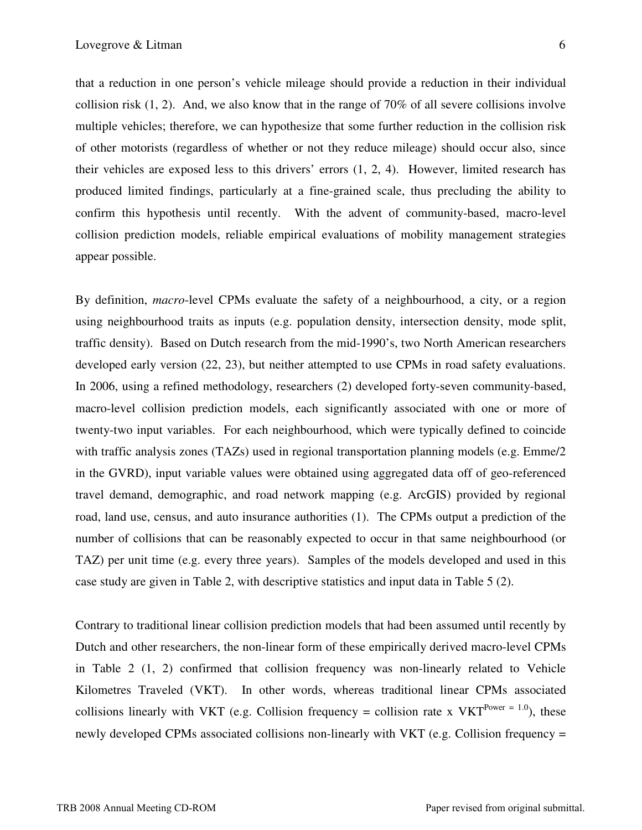that a reduction in one person's vehicle mileage should provide a reduction in their individual collision risk  $(1, 2)$ . And, we also know that in the range of 70% of all severe collisions involve multiple vehicles; therefore, we can hypothesize that some further reduction in the collision risk of other motorists (regardless of whether or not they reduce mileage) should occur also, since their vehicles are exposed less to this drivers' errors (1, 2, 4). However, limited research has produced limited findings, particularly at a fine-grained scale, thus precluding the ability to confirm this hypothesis until recently. With the advent of community-based, macro-level collision prediction models, reliable empirical evaluations of mobility management strategies appear possible.

By definition, *macro*-level CPMs evaluate the safety of a neighbourhood, a city, or a region using neighbourhood traits as inputs (e.g. population density, intersection density, mode split, traffic density). Based on Dutch research from the mid-1990's, two North American researchers developed early version (22, 23), but neither attempted to use CPMs in road safety evaluations. In 2006, using a refined methodology, researchers (2) developed forty-seven community-based, macro-level collision prediction models, each significantly associated with one or more of twenty-two input variables. For each neighbourhood, which were typically defined to coincide with traffic analysis zones (TAZs) used in regional transportation planning models (e.g. Emme/2 in the GVRD), input variable values were obtained using aggregated data off of geo-referenced travel demand, demographic, and road network mapping (e.g. ArcGIS) provided by regional road, land use, census, and auto insurance authorities (1). The CPMs output a prediction of the number of collisions that can be reasonably expected to occur in that same neighbourhood (or TAZ) per unit time (e.g. every three years). Samples of the models developed and used in this case study are given in Table 2, with descriptive statistics and input data in Table 5 (2).

Contrary to traditional linear collision prediction models that had been assumed until recently by Dutch and other researchers, the non-linear form of these empirically derived macro-level CPMs in Table 2 (1, 2) confirmed that collision frequency was non-linearly related to Vehicle Kilometres Traveled (VKT). In other words, whereas traditional linear CPMs associated collisions linearly with VKT (e.g. Collision frequency = collision rate x VKT<sup>Power = 1.0</sup>), these newly developed CPMs associated collisions non-linearly with VKT (e.g. Collision frequency =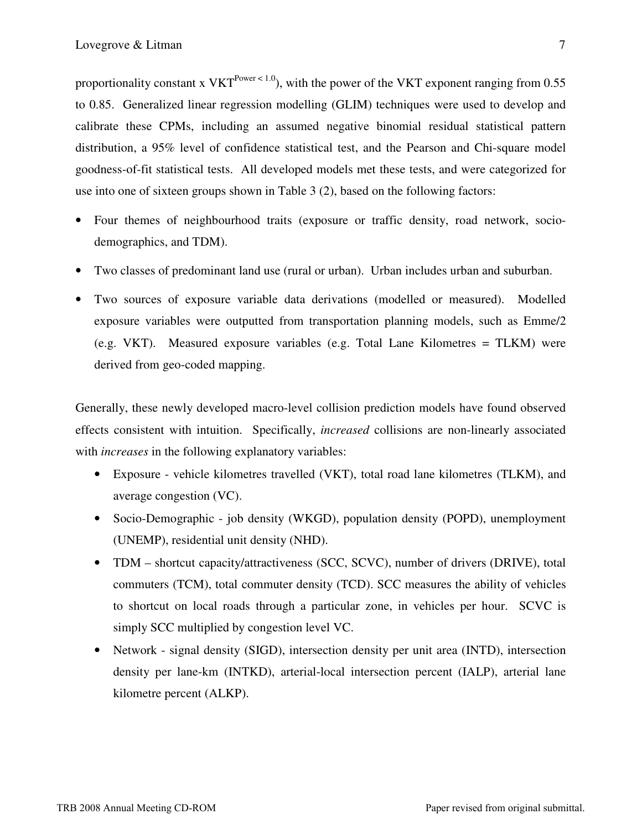proportionality constant x VKT<sup>Power < 1.0</sup>), with the power of the VKT exponent ranging from 0.55 to 0.85. Generalized linear regression modelling (GLIM) techniques were used to develop and calibrate these CPMs, including an assumed negative binomial residual statistical pattern distribution, a 95% level of confidence statistical test, and the Pearson and Chi-square model goodness-of-fit statistical tests. All developed models met these tests, and were categorized for use into one of sixteen groups shown in Table 3 (2), based on the following factors:

- Four themes of neighbourhood traits (exposure or traffic density, road network, sociodemographics, and TDM).
- Two classes of predominant land use (rural or urban). Urban includes urban and suburban.
- Two sources of exposure variable data derivations (modelled or measured). Modelled exposure variables were outputted from transportation planning models, such as Emme/2 (e.g. VKT). Measured exposure variables (e.g. Total Lane Kilometres = TLKM) were derived from geo-coded mapping.

Generally, these newly developed macro-level collision prediction models have found observed effects consistent with intuition. Specifically, *increased* collisions are non-linearly associated with *increases* in the following explanatory variables:

- Exposure vehicle kilometres travelled (VKT), total road lane kilometres (TLKM), and average congestion (VC).
- Socio-Demographic job density (WKGD), population density (POPD), unemployment (UNEMP), residential unit density (NHD).
- TDM shortcut capacity/attractiveness (SCC, SCVC), number of drivers (DRIVE), total commuters (TCM), total commuter density (TCD). SCC measures the ability of vehicles to shortcut on local roads through a particular zone, in vehicles per hour. SCVC is simply SCC multiplied by congestion level VC.
- Network signal density (SIGD), intersection density per unit area (INTD), intersection density per lane-km (INTKD), arterial-local intersection percent (IALP), arterial lane kilometre percent (ALKP).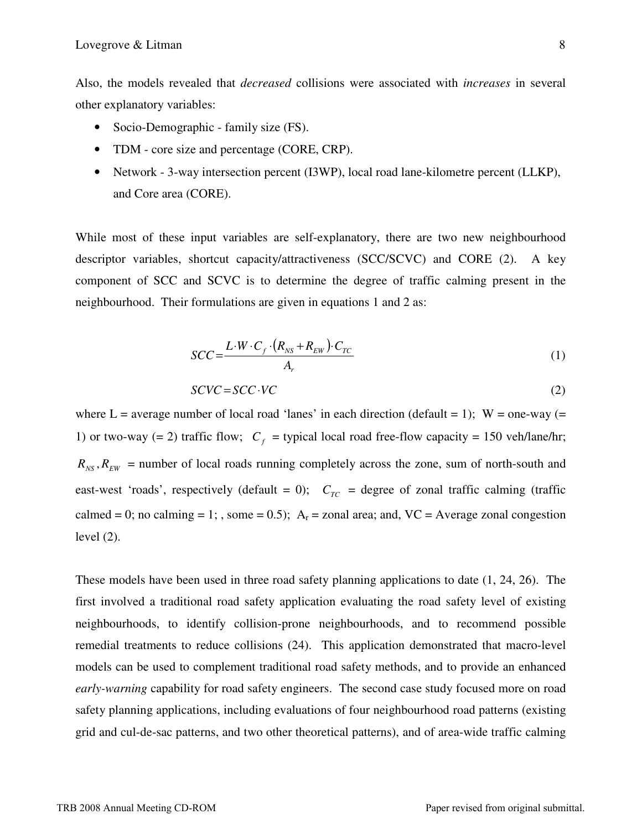Also, the models revealed that *decreased* collisions were associated with *increases* in several other explanatory variables:

- Socio-Demographic family size (FS).
- TDM core size and percentage (CORE, CRP).
- Network 3-way intersection percent (I3WP), local road lane-kilometre percent (LLKP), and Core area (CORE).

While most of these input variables are self-explanatory, there are two new neighbourhood descriptor variables, shortcut capacity/attractiveness (SCC/SCVC) and CORE (2). A key component of SCC and SCVC is to determine the degree of traffic calming present in the neighbourhood. Their formulations are given in equations 1 and 2 as:

$$
SCC = \frac{L \cdot W \cdot C_f \cdot (R_{NS} + R_{EW}) \cdot C_{TC}}{A_r}
$$
 (1)

$$
SCVC = SCC \cdot VC \tag{2}
$$

where  $L =$  average number of local road 'lanes' in each direction (default = 1);  $W =$  one-way (= 1) or two-way (= 2) traffic flow;  $C_f$  = typical local road free-flow capacity = 150 veh/lane/hr;  $R_{NS}$ ,  $R_{EW}$  = number of local roads running completely across the zone, sum of north-south and east-west 'roads', respectively (default = 0);  $C_{TC}$  = degree of zonal traffic calming (traffic calmed = 0; no calming = 1; , some = 0.5);  $A_r$  = zonal area; and, VC = Average zonal congestion level (2).

These models have been used in three road safety planning applications to date (1, 24, 26). The first involved a traditional road safety application evaluating the road safety level of existing neighbourhoods, to identify collision-prone neighbourhoods, and to recommend possible remedial treatments to reduce collisions (24). This application demonstrated that macro-level models can be used to complement traditional road safety methods, and to provide an enhanced *early-warning* capability for road safety engineers. The second case study focused more on road safety planning applications, including evaluations of four neighbourhood road patterns (existing grid and cul-de-sac patterns, and two other theoretical patterns), and of area-wide traffic calming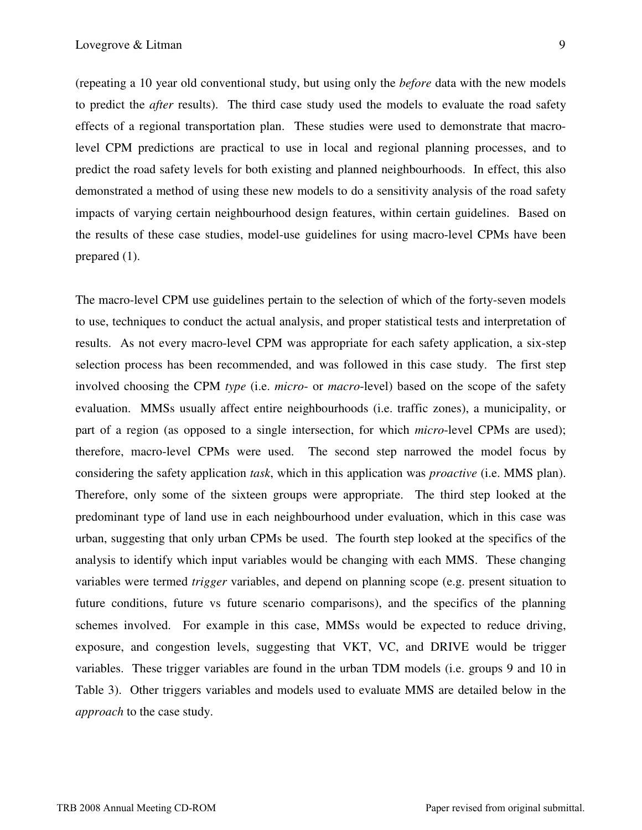(repeating a 10 year old conventional study, but using only the *before* data with the new models to predict the *after* results). The third case study used the models to evaluate the road safety effects of a regional transportation plan. These studies were used to demonstrate that macrolevel CPM predictions are practical to use in local and regional planning processes, and to predict the road safety levels for both existing and planned neighbourhoods. In effect, this also demonstrated a method of using these new models to do a sensitivity analysis of the road safety impacts of varying certain neighbourhood design features, within certain guidelines. Based on the results of these case studies, model-use guidelines for using macro-level CPMs have been prepared (1).

The macro-level CPM use guidelines pertain to the selection of which of the forty-seven models to use, techniques to conduct the actual analysis, and proper statistical tests and interpretation of results. As not every macro-level CPM was appropriate for each safety application, a six-step selection process has been recommended, and was followed in this case study. The first step involved choosing the CPM *type* (i.e. *micro*- or *macro*-level) based on the scope of the safety evaluation. MMSs usually affect entire neighbourhoods (i.e. traffic zones), a municipality, or part of a region (as opposed to a single intersection, for which *micro*-level CPMs are used); therefore, macro-level CPMs were used. The second step narrowed the model focus by considering the safety application *task*, which in this application was *proactive* (i.e. MMS plan). Therefore, only some of the sixteen groups were appropriate. The third step looked at the predominant type of land use in each neighbourhood under evaluation, which in this case was urban, suggesting that only urban CPMs be used. The fourth step looked at the specifics of the analysis to identify which input variables would be changing with each MMS. These changing variables were termed *trigger* variables, and depend on planning scope (e.g. present situation to future conditions, future vs future scenario comparisons), and the specifics of the planning schemes involved. For example in this case, MMSs would be expected to reduce driving, exposure, and congestion levels, suggesting that VKT, VC, and DRIVE would be trigger variables. These trigger variables are found in the urban TDM models (i.e. groups 9 and 10 in Table 3). Other triggers variables and models used to evaluate MMS are detailed below in the *approach* to the case study.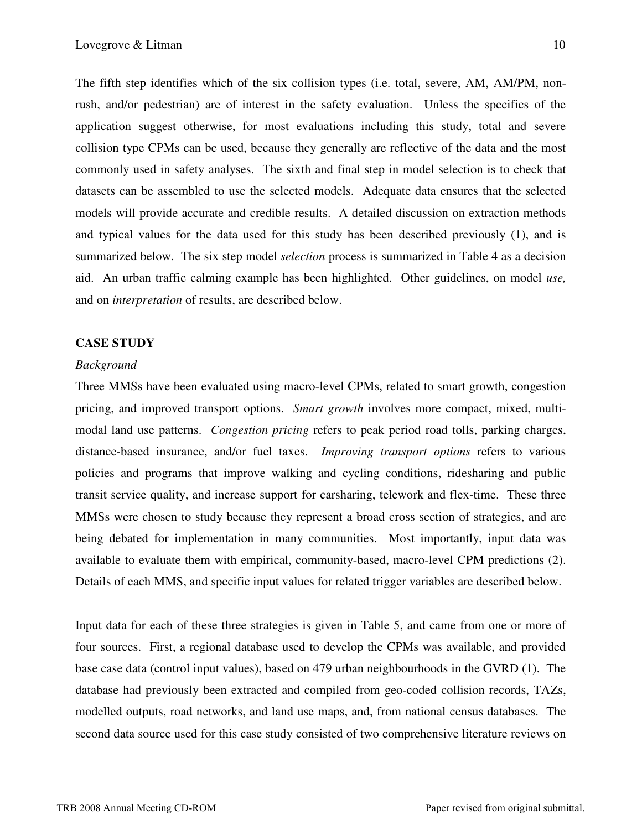The fifth step identifies which of the six collision types (i.e. total, severe, AM, AM/PM, nonrush, and/or pedestrian) are of interest in the safety evaluation. Unless the specifics of the application suggest otherwise, for most evaluations including this study, total and severe collision type CPMs can be used, because they generally are reflective of the data and the most commonly used in safety analyses. The sixth and final step in model selection is to check that datasets can be assembled to use the selected models. Adequate data ensures that the selected models will provide accurate and credible results. A detailed discussion on extraction methods and typical values for the data used for this study has been described previously (1), and is summarized below. The six step model *selection* process is summarized in Table 4 as a decision aid. An urban traffic calming example has been highlighted. Other guidelines, on model *use,* and on *interpretation* of results, are described below.

## **CASE STUDY**

#### *Background*

Three MMSs have been evaluated using macro-level CPMs, related to smart growth, congestion pricing, and improved transport options. *Smart growth* involves more compact, mixed, multimodal land use patterns. *Congestion pricing* refers to peak period road tolls, parking charges, distance-based insurance, and/or fuel taxes. *Improving transport options* refers to various policies and programs that improve walking and cycling conditions, ridesharing and public transit service quality, and increase support for carsharing, telework and flex-time. These three MMSs were chosen to study because they represent a broad cross section of strategies, and are being debated for implementation in many communities. Most importantly, input data was available to evaluate them with empirical, community-based, macro-level CPM predictions (2). Details of each MMS, and specific input values for related trigger variables are described below.

Input data for each of these three strategies is given in Table 5, and came from one or more of four sources. First, a regional database used to develop the CPMs was available, and provided base case data (control input values), based on 479 urban neighbourhoods in the GVRD (1). The database had previously been extracted and compiled from geo-coded collision records, TAZs, modelled outputs, road networks, and land use maps, and, from national census databases. The second data source used for this case study consisted of two comprehensive literature reviews on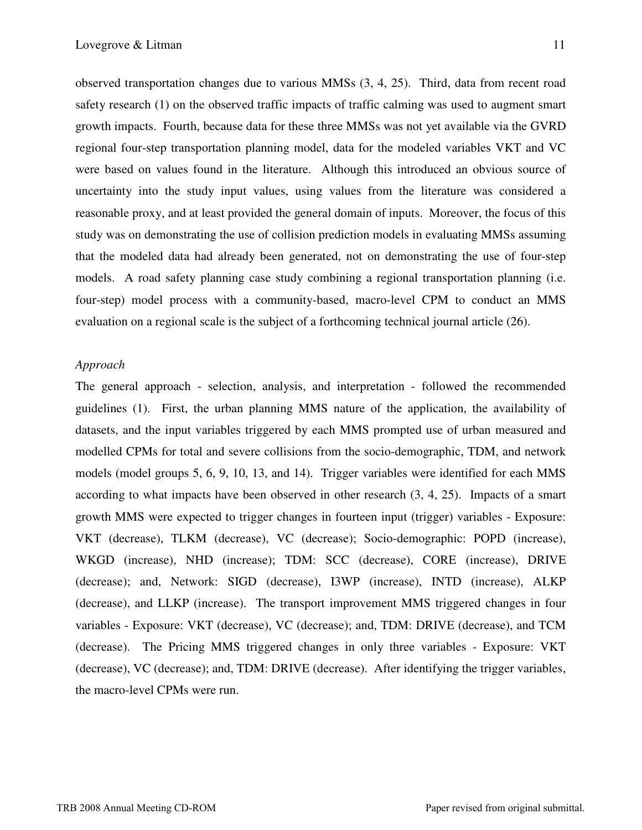observed transportation changes due to various MMSs (3, 4, 25). Third, data from recent road safety research (1) on the observed traffic impacts of traffic calming was used to augment smart growth impacts. Fourth, because data for these three MMSs was not yet available via the GVRD regional four-step transportation planning model, data for the modeled variables VKT and VC were based on values found in the literature. Although this introduced an obvious source of uncertainty into the study input values, using values from the literature was considered a reasonable proxy, and at least provided the general domain of inputs. Moreover, the focus of this study was on demonstrating the use of collision prediction models in evaluating MMSs assuming that the modeled data had already been generated, not on demonstrating the use of four-step models. A road safety planning case study combining a regional transportation planning (i.e. four-step) model process with a community-based, macro-level CPM to conduct an MMS evaluation on a regional scale is the subject of a forthcoming technical journal article (26).

#### *Approach*

The general approach - selection, analysis, and interpretation - followed the recommended guidelines (1). First, the urban planning MMS nature of the application, the availability of datasets, and the input variables triggered by each MMS prompted use of urban measured and modelled CPMs for total and severe collisions from the socio-demographic, TDM, and network models (model groups 5, 6, 9, 10, 13, and 14). Trigger variables were identified for each MMS according to what impacts have been observed in other research (3, 4, 25). Impacts of a smart growth MMS were expected to trigger changes in fourteen input (trigger) variables - Exposure: VKT (decrease), TLKM (decrease), VC (decrease); Socio-demographic: POPD (increase), WKGD (increase), NHD (increase); TDM: SCC (decrease), CORE (increase), DRIVE (decrease); and, Network: SIGD (decrease), I3WP (increase), INTD (increase), ALKP (decrease), and LLKP (increase). The transport improvement MMS triggered changes in four variables - Exposure: VKT (decrease), VC (decrease); and, TDM: DRIVE (decrease), and TCM (decrease). The Pricing MMS triggered changes in only three variables - Exposure: VKT (decrease), VC (decrease); and, TDM: DRIVE (decrease). After identifying the trigger variables, the macro-level CPMs were run.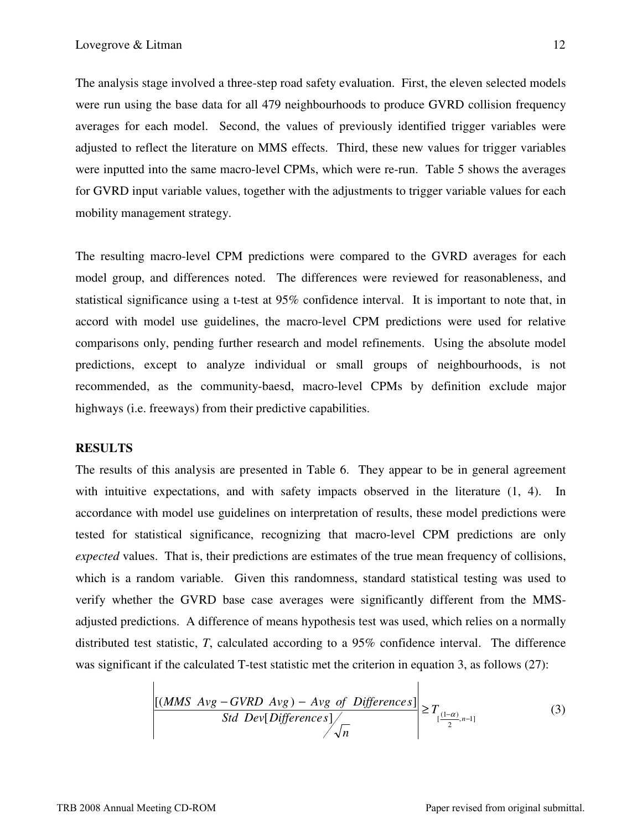The analysis stage involved a three-step road safety evaluation. First, the eleven selected models were run using the base data for all 479 neighbourhoods to produce GVRD collision frequency averages for each model. Second, the values of previously identified trigger variables were adjusted to reflect the literature on MMS effects. Third, these new values for trigger variables were inputted into the same macro-level CPMs, which were re-run. Table 5 shows the averages for GVRD input variable values, together with the adjustments to trigger variable values for each mobility management strategy.

The resulting macro-level CPM predictions were compared to the GVRD averages for each model group, and differences noted. The differences were reviewed for reasonableness, and statistical significance using a t-test at 95% confidence interval. It is important to note that, in accord with model use guidelines, the macro-level CPM predictions were used for relative comparisons only, pending further research and model refinements. Using the absolute model predictions, except to analyze individual or small groups of neighbourhoods, is not recommended, as the community-baesd, macro-level CPMs by definition exclude major highways (i.e. freeways) from their predictive capabilities.

#### **RESULTS**

The results of this analysis are presented in Table 6. They appear to be in general agreement with intuitive expectations, and with safety impacts observed in the literature  $(1, 4)$ . In accordance with model use guidelines on interpretation of results, these model predictions were tested for statistical significance, recognizing that macro-level CPM predictions are only *expected* values. That is, their predictions are estimates of the true mean frequency of collisions, which is a random variable. Given this randomness, standard statistical testing was used to verify whether the GVRD base case averages were significantly different from the MMSadjusted predictions. A difference of means hypothesis test was used, which relies on a normally distributed test statistic, *T*, calculated according to a 95% confidence interval. The difference was significant if the calculated T-test statistic met the criterion in equation 3, as follows (27):

$$
\frac{[(MMS \;Avg - GVRD \;Avg) - Avg \;of \;Differences]}{Std \;Dev[Differences]} \bigg\vert \ge T_{\frac{(1-\alpha)}{2},n-1}
$$
\n(3)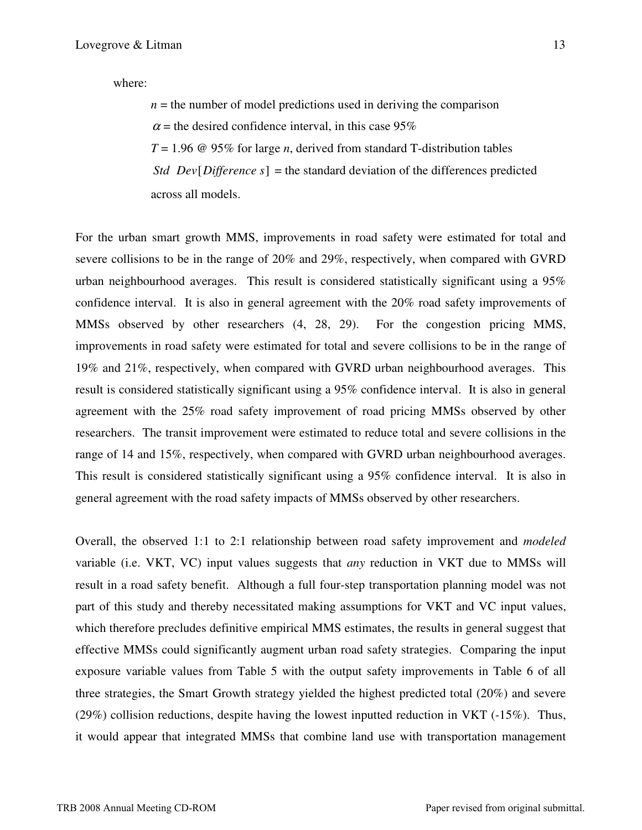where:

 $n =$  the number of model predictions used in deriving the comparison

 $\alpha$  = the desired confidence interval, in this case 95%

 $T = 1.96 \omega$  95% for large *n*, derived from standard T-distribution tables

*Std Dev*[*Difference s*] = the standard deviation of the differences predicted across all models.

For the urban smart growth MMS, improvements in road safety were estimated for total and severe collisions to be in the range of 20% and 29%, respectively, when compared with GVRD urban neighbourhood averages. This result is considered statistically significant using a 95% confidence interval. It is also in general agreement with the 20% road safety improvements of MMSs observed by other researchers (4, 28, 29). For the congestion pricing MMS, improvements in road safety were estimated for total and severe collisions to be in the range of 19% and 21%, respectively, when compared with GVRD urban neighbourhood averages. This result is considered statistically significant using a 95% confidence interval. It is also in general agreement with the 25% road safety improvement of road pricing MMSs observed by other researchers. The transit improvement were estimated to reduce total and severe collisions in the range of 14 and 15%, respectively, when compared with GVRD urban neighbourhood averages. This result is considered statistically significant using a 95% confidence interval. It is also in general agreement with the road safety impacts of MMSs observed by other researchers.

Overall, the observed 1:1 to 2:1 relationship between road safety improvement and *modeled* variable (i.e. VKT, VC) input values suggests that *any* reduction in VKT due to MMSs will result in a road safety benefit. Although a full four-step transportation planning model was not part of this study and thereby necessitated making assumptions for VKT and VC input values, which therefore precludes definitive empirical MMS estimates, the results in general suggest that effective MMSs could significantly augment urban road safety strategies. Comparing the input exposure variable values from Table 5 with the output safety improvements in Table 6 of all three strategies, the Smart Growth strategy yielded the highest predicted total (20%) and severe (29%) collision reductions, despite having the lowest inputted reduction in VKT (-15%). Thus, it would appear that integrated MMSs that combine land use with transportation management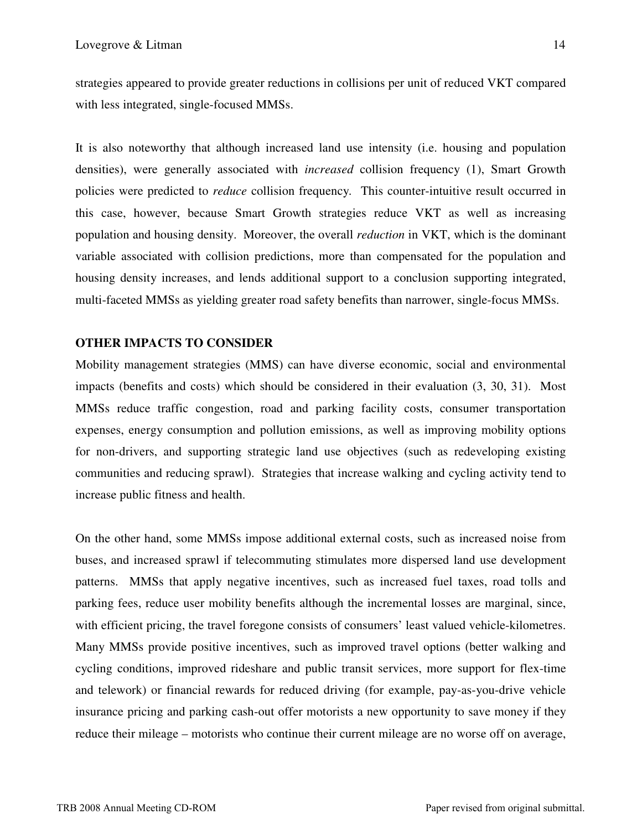strategies appeared to provide greater reductions in collisions per unit of reduced VKT compared with less integrated, single-focused MMSs.

It is also noteworthy that although increased land use intensity (i.e. housing and population densities), were generally associated with *increased* collision frequency (1), Smart Growth policies were predicted to *reduce* collision frequency*.* This counter-intuitive result occurred in this case, however, because Smart Growth strategies reduce VKT as well as increasing population and housing density. Moreover, the overall *reduction* in VKT, which is the dominant variable associated with collision predictions, more than compensated for the population and housing density increases, and lends additional support to a conclusion supporting integrated, multi-faceted MMSs as yielding greater road safety benefits than narrower, single-focus MMSs.

## **OTHER IMPACTS TO CONSIDER**

Mobility management strategies (MMS) can have diverse economic, social and environmental impacts (benefits and costs) which should be considered in their evaluation (3, 30, 31). Most MMSs reduce traffic congestion, road and parking facility costs, consumer transportation expenses, energy consumption and pollution emissions, as well as improving mobility options for non-drivers, and supporting strategic land use objectives (such as redeveloping existing communities and reducing sprawl). Strategies that increase walking and cycling activity tend to increase public fitness and health.

On the other hand, some MMSs impose additional external costs, such as increased noise from buses, and increased sprawl if telecommuting stimulates more dispersed land use development patterns. MMSs that apply negative incentives, such as increased fuel taxes, road tolls and parking fees, reduce user mobility benefits although the incremental losses are marginal, since, with efficient pricing, the travel foregone consists of consumers' least valued vehicle-kilometres. Many MMSs provide positive incentives, such as improved travel options (better walking and cycling conditions, improved rideshare and public transit services, more support for flex-time and telework) or financial rewards for reduced driving (for example, pay-as-you-drive vehicle insurance pricing and parking cash-out offer motorists a new opportunity to save money if they reduce their mileage – motorists who continue their current mileage are no worse off on average,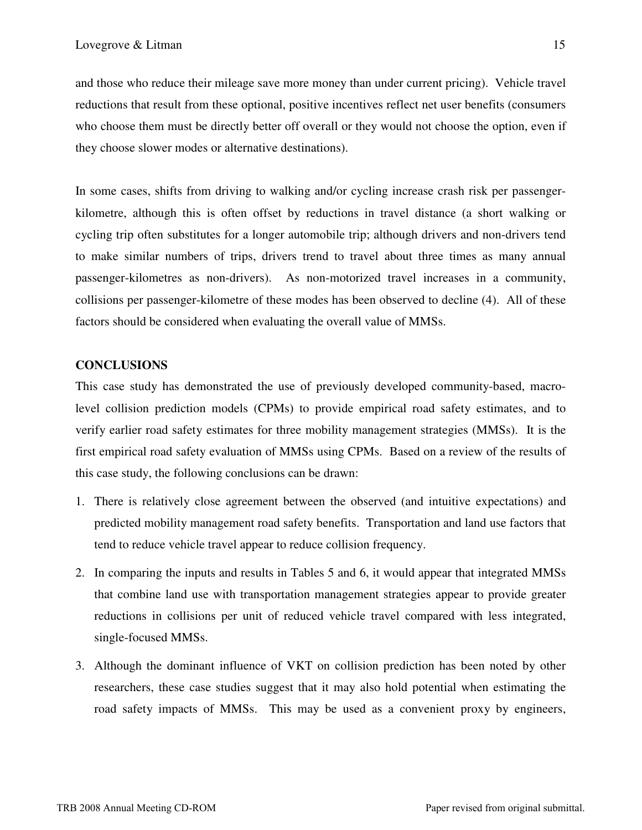and those who reduce their mileage save more money than under current pricing). Vehicle travel reductions that result from these optional, positive incentives reflect net user benefits (consumers who choose them must be directly better off overall or they would not choose the option, even if they choose slower modes or alternative destinations).

In some cases, shifts from driving to walking and/or cycling increase crash risk per passengerkilometre, although this is often offset by reductions in travel distance (a short walking or cycling trip often substitutes for a longer automobile trip; although drivers and non-drivers tend to make similar numbers of trips, drivers trend to travel about three times as many annual passenger-kilometres as non-drivers). As non-motorized travel increases in a community, collisions per passenger-kilometre of these modes has been observed to decline (4). All of these factors should be considered when evaluating the overall value of MMSs.

## **CONCLUSIONS**

This case study has demonstrated the use of previously developed community-based, macrolevel collision prediction models (CPMs) to provide empirical road safety estimates, and to verify earlier road safety estimates for three mobility management strategies (MMSs). It is the first empirical road safety evaluation of MMSs using CPMs. Based on a review of the results of this case study, the following conclusions can be drawn:

- 1. There is relatively close agreement between the observed (and intuitive expectations) and predicted mobility management road safety benefits. Transportation and land use factors that tend to reduce vehicle travel appear to reduce collision frequency.
- 2. In comparing the inputs and results in Tables 5 and 6, it would appear that integrated MMSs that combine land use with transportation management strategies appear to provide greater reductions in collisions per unit of reduced vehicle travel compared with less integrated, single-focused MMSs.
- 3. Although the dominant influence of VKT on collision prediction has been noted by other researchers, these case studies suggest that it may also hold potential when estimating the road safety impacts of MMSs. This may be used as a convenient proxy by engineers,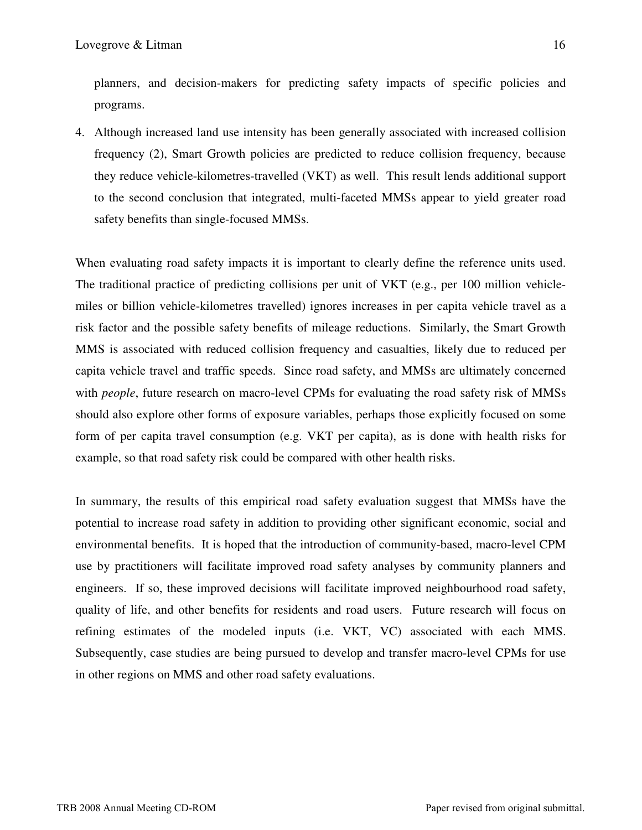planners, and decision-makers for predicting safety impacts of specific policies and programs.

4. Although increased land use intensity has been generally associated with increased collision frequency (2), Smart Growth policies are predicted to reduce collision frequency, because they reduce vehicle-kilometres-travelled (VKT) as well. This result lends additional support to the second conclusion that integrated, multi-faceted MMSs appear to yield greater road safety benefits than single-focused MMSs.

When evaluating road safety impacts it is important to clearly define the reference units used. The traditional practice of predicting collisions per unit of VKT (e.g., per 100 million vehiclemiles or billion vehicle-kilometres travelled) ignores increases in per capita vehicle travel as a risk factor and the possible safety benefits of mileage reductions. Similarly, the Smart Growth MMS is associated with reduced collision frequency and casualties, likely due to reduced per capita vehicle travel and traffic speeds. Since road safety, and MMSs are ultimately concerned with *people*, future research on macro-level CPMs for evaluating the road safety risk of MMSs should also explore other forms of exposure variables, perhaps those explicitly focused on some form of per capita travel consumption (e.g. VKT per capita), as is done with health risks for example, so that road safety risk could be compared with other health risks.

In summary, the results of this empirical road safety evaluation suggest that MMSs have the potential to increase road safety in addition to providing other significant economic, social and environmental benefits. It is hoped that the introduction of community-based, macro-level CPM use by practitioners will facilitate improved road safety analyses by community planners and engineers. If so, these improved decisions will facilitate improved neighbourhood road safety, quality of life, and other benefits for residents and road users. Future research will focus on refining estimates of the modeled inputs (i.e. VKT, VC) associated with each MMS. Subsequently, case studies are being pursued to develop and transfer macro-level CPMs for use in other regions on MMS and other road safety evaluations.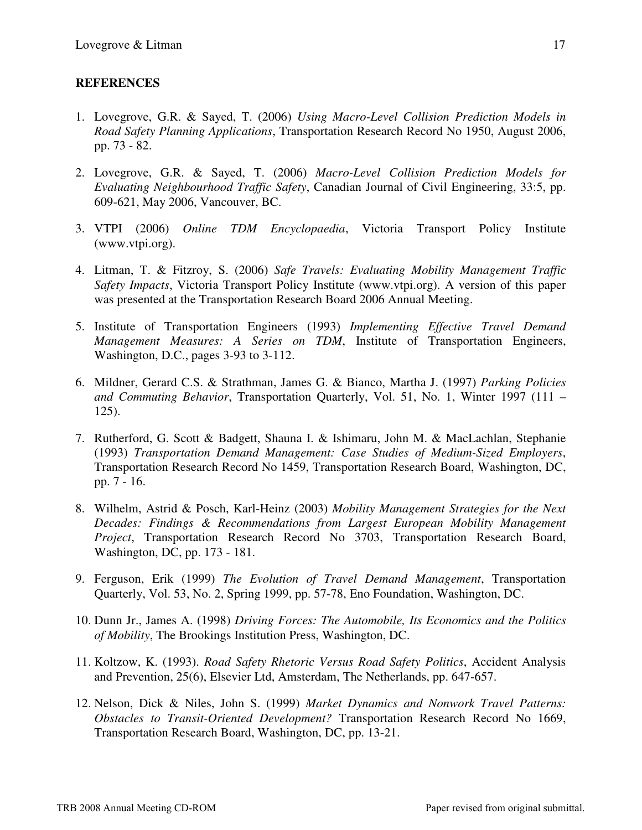# **REFERENCES**

- 1. Lovegrove, G.R. & Sayed, T. (2006) *Using Macro-Level Collision Prediction Models in Road Safety Planning Applications*, Transportation Research Record No 1950, August 2006, pp. 73 - 82.
- 2. Lovegrove, G.R. & Sayed, T. (2006) *Macro-Level Collision Prediction Models for Evaluating Neighbourhood Traffic Safety*, Canadian Journal of Civil Engineering, 33:5, pp. 609-621, May 2006, Vancouver, BC.
- 3. VTPI (2006) *Online TDM Encyclopaedia*, Victoria Transport Policy Institute (www.vtpi.org).
- 4. Litman, T. & Fitzroy, S. (2006) *Safe Travels: Evaluating Mobility Management Traffic Safety Impacts*, Victoria Transport Policy Institute (www.vtpi.org). A version of this paper was presented at the Transportation Research Board 2006 Annual Meeting.
- 5. Institute of Transportation Engineers (1993) *Implementing Effective Travel Demand Management Measures: A Series on TDM*, Institute of Transportation Engineers, Washington, D.C., pages 3-93 to 3-112.
- 6. Mildner, Gerard C.S. & Strathman, James G. & Bianco, Martha J. (1997) *Parking Policies and Commuting Behavior*, Transportation Quarterly, Vol. 51, No. 1, Winter 1997 (111 – 125).
- 7. Rutherford, G. Scott & Badgett, Shauna I. & Ishimaru, John M. & MacLachlan, Stephanie (1993) *Transportation Demand Management: Case Studies of Medium-Sized Employers*, Transportation Research Record No 1459, Transportation Research Board, Washington, DC, pp. 7 - 16.
- 8. Wilhelm, Astrid & Posch, Karl-Heinz (2003) *Mobility Management Strategies for the Next Decades: Findings & Recommendations from Largest European Mobility Management Project*, Transportation Research Record No 3703, Transportation Research Board, Washington, DC, pp. 173 - 181.
- 9. Ferguson, Erik (1999) *The Evolution of Travel Demand Management*, Transportation Quarterly, Vol. 53, No. 2, Spring 1999, pp. 57-78, Eno Foundation, Washington, DC.
- 10. Dunn Jr., James A. (1998) *Driving Forces: The Automobile, Its Economics and the Politics of Mobility*, The Brookings Institution Press, Washington, DC.
- 11. Koltzow, K. (1993). *Road Safety Rhetoric Versus Road Safety Politics*, Accident Analysis and Prevention, 25(6), Elsevier Ltd, Amsterdam, The Netherlands, pp. 647-657.
- 12. Nelson, Dick & Niles, John S. (1999) *Market Dynamics and Nonwork Travel Patterns: Obstacles to Transit-Oriented Development?* Transportation Research Record No 1669, Transportation Research Board, Washington, DC, pp. 13-21.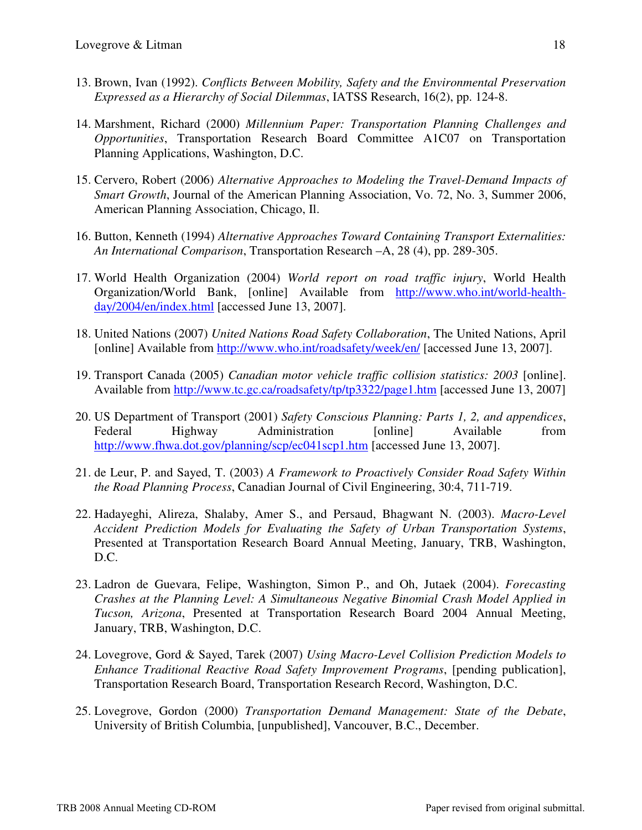- 13. Brown, Ivan (1992). *Conflicts Between Mobility, Safety and the Environmental Preservation Expressed as a Hierarchy of Social Dilemmas*, IATSS Research, 16(2), pp. 124-8.
- 14. Marshment, Richard (2000) *Millennium Paper: Transportation Planning Challenges and Opportunities*, Transportation Research Board Committee A1C07 on Transportation Planning Applications, Washington, D.C.
- 15. Cervero, Robert (2006) *Alternative Approaches to Modeling the Travel-Demand Impacts of Smart Growth*, Journal of the American Planning Association, Vo. 72, No. 3, Summer 2006, American Planning Association, Chicago, Il.
- 16. Button, Kenneth (1994) *Alternative Approaches Toward Containing Transport Externalities: An International Comparison*, Transportation Research –A, 28 (4), pp. 289-305.
- 17. World Health Organization (2004) *World report on road traffic injury*, World Health Organization/World Bank, [online] Available from http://www.who.int/world-healthday/2004/en/index.html [accessed June 13, 2007].
- 18. United Nations (2007) *United Nations Road Safety Collaboration*, The United Nations, April [online] Available from http://www.who.int/roadsafety/week/en/ [accessed June 13, 2007].
- 19. Transport Canada (2005) *Canadian motor vehicle traffic collision statistics: 2003* [online]. Available from http://www.tc.gc.ca/roadsafety/tp/tp3322/page1.htm [accessed June 13, 2007]
- 20. US Department of Transport (2001) *Safety Conscious Planning: Parts 1, 2, and appendices*, Federal Highway Administration [online] Available from http://www.fhwa.dot.gov/planning/scp/ec041scp1.htm [accessed June 13, 2007].
- 21. de Leur, P. and Sayed, T. (2003) *A Framework to Proactively Consider Road Safety Within the Road Planning Process*, Canadian Journal of Civil Engineering, 30:4, 711-719.
- 22. Hadayeghi, Alireza, Shalaby, Amer S., and Persaud, Bhagwant N. (2003). *Macro-Level Accident Prediction Models for Evaluating the Safety of Urban Transportation Systems*, Presented at Transportation Research Board Annual Meeting, January, TRB, Washington, D.C.
- 23. Ladron de Guevara, Felipe, Washington, Simon P., and Oh, Jutaek (2004). *Forecasting Crashes at the Planning Level: A Simultaneous Negative Binomial Crash Model Applied in Tucson, Arizona*, Presented at Transportation Research Board 2004 Annual Meeting, January, TRB, Washington, D.C.
- 24. Lovegrove, Gord & Sayed, Tarek (2007) *Using Macro-Level Collision Prediction Models to Enhance Traditional Reactive Road Safety Improvement Programs*, [pending publication], Transportation Research Board, Transportation Research Record, Washington, D.C.
- 25. Lovegrove, Gordon (2000) *Transportation Demand Management: State of the Debate*, University of British Columbia, [unpublished], Vancouver, B.C., December.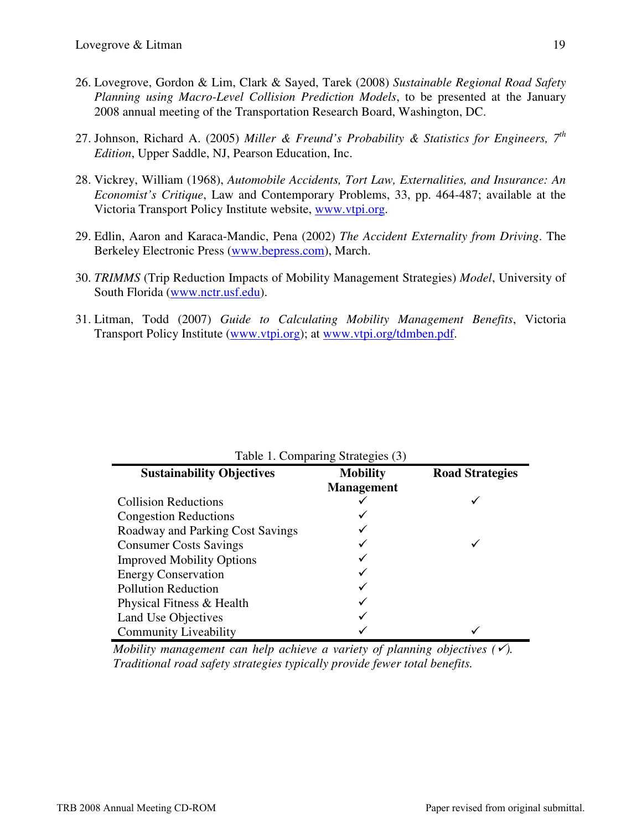- 26. Lovegrove, Gordon & Lim, Clark & Sayed, Tarek (2008) *Sustainable Regional Road Safety Planning using Macro-Level Collision Prediction Models*, to be presented at the January 2008 annual meeting of the Transportation Research Board, Washington, DC.
- 27. Johnson, Richard A. (2005) *Miller & Freund's Probability & Statistics for Engineers, 7th Edition*, Upper Saddle, NJ, Pearson Education, Inc.
- 28. Vickrey, William (1968), *Automobile Accidents, Tort Law, Externalities, and Insurance: An Economist's Critique*, Law and Contemporary Problems, 33, pp. 464-487; available at the Victoria Transport Policy Institute website, www.vtpi.org.
- 29. Edlin, Aaron and Karaca-Mandic, Pena (2002) *The Accident Externality from Driving*. The Berkeley Electronic Press (www.bepress.com), March.
- 30. *TRIMMS* (Trip Reduction Impacts of Mobility Management Strategies) *Model*, University of South Florida (www.nctr.usf.edu).
- 31. Litman, Todd (2007) *Guide to Calculating Mobility Management Benefits*, Victoria Transport Policy Institute (www.vtpi.org); at www.vtpi.org/tdmben.pdf.

| Table 1. Comparing Strategies (3) |                   |                        |  |  |  |  |  |  |
|-----------------------------------|-------------------|------------------------|--|--|--|--|--|--|
| <b>Sustainability Objectives</b>  | <b>Mobility</b>   | <b>Road Strategies</b> |  |  |  |  |  |  |
|                                   | <b>Management</b> |                        |  |  |  |  |  |  |
| <b>Collision Reductions</b>       |                   |                        |  |  |  |  |  |  |
| <b>Congestion Reductions</b>      |                   |                        |  |  |  |  |  |  |
| Roadway and Parking Cost Savings  |                   |                        |  |  |  |  |  |  |
| <b>Consumer Costs Savings</b>     |                   |                        |  |  |  |  |  |  |
| <b>Improved Mobility Options</b>  |                   |                        |  |  |  |  |  |  |
| <b>Energy Conservation</b>        |                   |                        |  |  |  |  |  |  |
| <b>Pollution Reduction</b>        |                   |                        |  |  |  |  |  |  |
| Physical Fitness & Health         |                   |                        |  |  |  |  |  |  |
| Land Use Objectives               |                   |                        |  |  |  |  |  |  |
| <b>Community Liveability</b>      |                   |                        |  |  |  |  |  |  |

*Mobility management can help achieve a variety of planning objectives (). Traditional road safety strategies typically provide fewer total benefits.*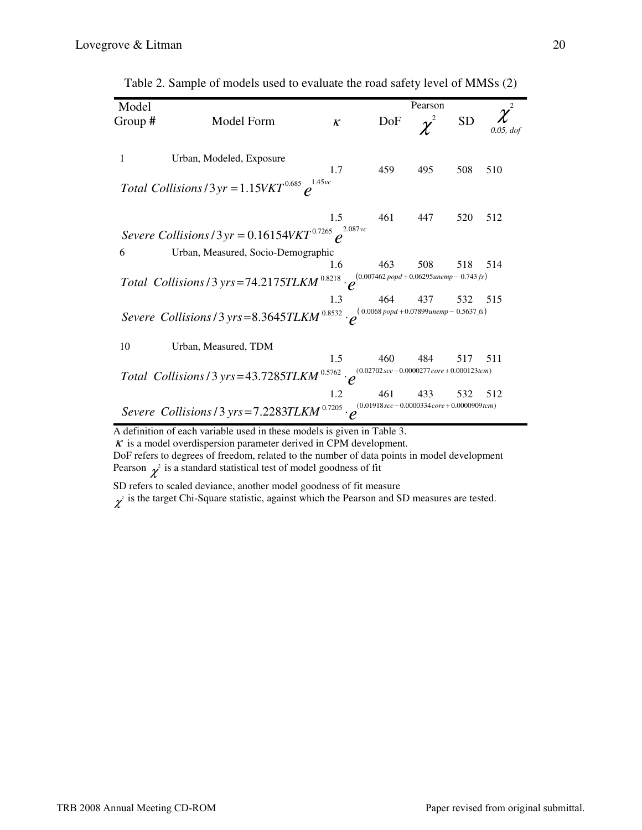| Model   |                                                                                                                                                            |                            |     | Pearson  |           |           |
|---------|------------------------------------------------------------------------------------------------------------------------------------------------------------|----------------------------|-----|----------|-----------|-----------|
| Group # | Model Form                                                                                                                                                 | $\boldsymbol{\mathcal{K}}$ | DoF | $\chi^2$ | <b>SD</b> | 0.05, dof |
| 1       | Urban, Modeled, Exposure                                                                                                                                   | 1.7                        | 459 | 495      | 508       | 510       |
|         | Total Collisions / 3 yr = $1.15VKT^{0.685}$ $e^{1.45vc}$                                                                                                   |                            |     |          |           |           |
|         |                                                                                                                                                            | 1.5                        | 461 | 447      | 520       | 512       |
|         | Severe Collisions / 3 yr = 0.16154VKT <sup>0.7265</sup> $\rho^{^{2.087 \text{vc}}}$                                                                        |                            |     |          |           |           |
| 6       | Urban, Measured, Socio-Demographic                                                                                                                         |                            |     |          |           |           |
|         |                                                                                                                                                            | 1.6                        | 463 | 508      | 518       | 514       |
|         | Total Collisions / 3 yrs = 74.2175TLKM <sup>0.8218</sup> $\cdot$ $e^{(0.007462 \text{ popd} + 0.06295 \text{ unemp} - 0.743 \text{ fs})}$                  |                            |     |          |           |           |
|         |                                                                                                                                                            | 1.3                        | 464 | 437      | 532       | 515       |
|         | Severe Collisions / 3 yrs = 8.3645TLKM <sup>0.8532</sup> $\cdot e^{(0.0068 \text{ popd} + 0.07899 \text{unemp} - 0.5637 \text{ fs})}$                      |                            |     |          |           |           |
| 10      | Urban, Measured, TDM                                                                                                                                       |                            |     |          |           |           |
|         |                                                                                                                                                            | 1.5                        | 460 | 484      | 517       | 511       |
|         | <i>Total Collisions</i> / 3 yrs = 43.7285 <i>TLKM</i> <sup>0.5762</sup> $\cdot e^{(0.02702 \text{ sec} - 0.0000277 \text{ core} + 0.000123 \text{ term})}$ |                            |     |          |           |           |
|         |                                                                                                                                                            | 1.2                        | 461 | 433      | 532       | 512       |
|         | Severe Collisions / 3 yrs = 7.2283TLKM $^{0.7205}$ $\cdot e^{^{(0.01918sec - 0.0000334core + 0.0000909tem)}}$                                              |                            |     |          |           |           |

Table 2. Sample of models used to evaluate the road safety level of MMSs (2)

A definition of each variable used in these models is given in Table 3.

 $K$  is a model overdispersion parameter derived in CPM development.

DoF refers to degrees of freedom, related to the number of data points in model development Pearson  $\chi^2$  is a standard statistical test of model goodness of fit

SD refers to scaled deviance, another model goodness of fit measure

 $\chi^2$  is the target Chi-Square statistic, against which the Pearson and SD measures are tested.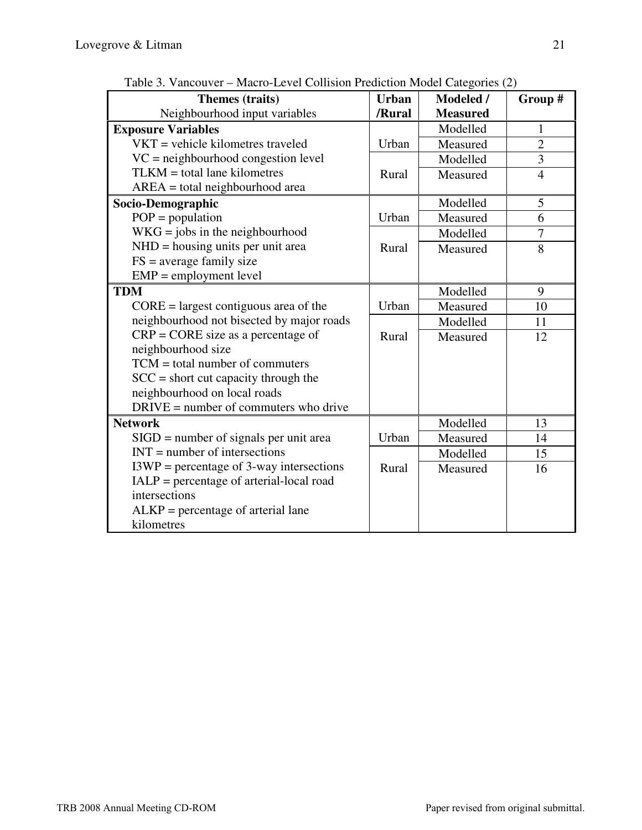| Fable 5. Valicouver – Macro-Lever Comsion i rediction model Categories (2)<br>Themes (traits) | <b>Urban</b> | <b>Modeled</b> / | Group #        |
|-----------------------------------------------------------------------------------------------|--------------|------------------|----------------|
| Neighbourhood input variables                                                                 | /Rural       | <b>Measured</b>  |                |
| <b>Exposure Variables</b>                                                                     |              | Modelled         | 1              |
| $VKT$ = vehicle kilometres traveled                                                           | Urban        | Measured         | $\overline{c}$ |
| $VC = neighbourhood$ congestion level                                                         |              | Modelled         | $\overline{3}$ |
| $TLKM = total$ lane kilometres                                                                | Rural        | Measured         | $\overline{4}$ |
| $AREA = total neighborhood area$                                                              |              |                  |                |
| Socio-Demographic                                                                             |              | Modelled         | 5              |
| $POP = population$                                                                            | Urban        | Measured         | 6              |
| $WKG = jobs$ in the neighbourhood                                                             |              | Modelled         | $\overline{7}$ |
| $NHD = housing$ units per unit area                                                           | Rural        | Measured         | 8              |
| $FS = average family size$                                                                    |              |                  |                |
| $EMP =$ employment level                                                                      |              |                  |                |
| <b>TDM</b>                                                                                    |              | Modelled         | 9              |
| $CORE = \text{largest contiguous area of the}$                                                | Urban        | Measured         | 10             |
| neighbourhood not bisected by major roads                                                     |              | Modelled         | 11             |
| $CRP = CORE$ size as a percentage of                                                          | Rural        | Measured         | 12             |
| neighbourhood size                                                                            |              |                  |                |
| $TCM = total number of commuters$                                                             |              |                  |                |
| $SCC = short cut capacity through the$                                                        |              |                  |                |
| neighbourhood on local roads                                                                  |              |                  |                |
| $DRIVE = number of commutes who drive$                                                        |              |                  |                |
| <b>Network</b>                                                                                |              | Modelled         | 13             |
| $SIGD = number of signals per unit area$                                                      | Urban        | Measured         | 14             |
| $INT = number of intersections$                                                               |              | Modelled         | 15             |
| $I3WP = percentage of 3-way intersections$                                                    | Rural        | Measured         | 16             |
| $IALP = percentage of a internal-local road$                                                  |              |                  |                |
| intersections                                                                                 |              |                  |                |
| $ALKP = percentage of arterial lane$                                                          |              |                  |                |
| kilometres                                                                                    |              |                  |                |

Table 3. Vancouver – Macro-Level Collision Prediction Model Categories (2)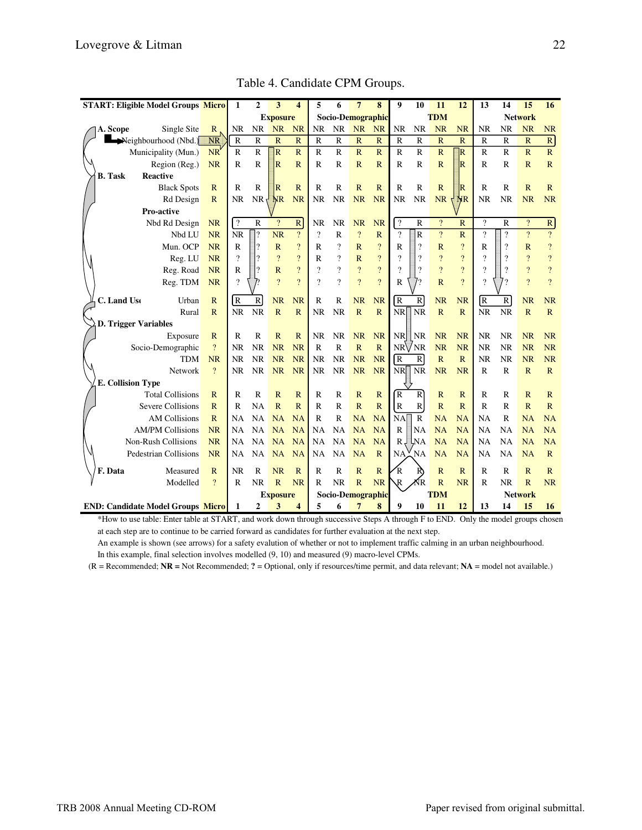| <b>START: Eligible Model Groups Micro</b> |                | $\mathbf{1}$            | $\overline{2}$           | 3               | $\overline{\mathbf{4}}$  | 5                        | 6                        | $\overline{7}$          | 8                       | $\boldsymbol{9}$         | 10                       | 11             | 12                      | 13                       | 14                       | 15                       | 16                       |
|-------------------------------------------|----------------|-------------------------|--------------------------|-----------------|--------------------------|--------------------------|--------------------------|-------------------------|-------------------------|--------------------------|--------------------------|----------------|-------------------------|--------------------------|--------------------------|--------------------------|--------------------------|
|                                           |                |                         |                          | <b>Exposure</b> |                          |                          |                          | Socio-Demographic       |                         |                          | <b>TDM</b>               |                |                         | <b>Network</b>           |                          |                          |                          |
| Single Site<br>A. Scope                   | $\mathbb{R}$   | <b>NR</b>               | <b>NR</b>                | <b>NR</b>       | <b>NR</b>                | <b>NR</b>                | <b>NR</b>                | <b>NR</b>               | <b>NR</b>               | <b>NR</b>                | NR                       | <b>NR</b>      | <b>NR</b>               | <b>NR</b>                | NR                       | <b>NR</b>                | <b>NR</b>                |
| Neighbourhood (Nbd.)                      | <b>NR</b>      | $\overline{R}$          | $\overline{R}$           | $\overline{R}$  | $\overline{\mathsf{R}}$  | $\mathbf R$              | $\mathbb{R}$             | $\overline{\mathbf{R}}$ | $\mathbb{R}$            | $\mathbb{R}$             | $\overline{\mathbf{R}}$  | $\mathbb{R}$   | $\mathbb{R}$            | R                        | $\mathbb{R}$             | $\mathbb{R}$             | $\overline{R}$           |
| Municipality (Mun.)                       | NR <sup></sup> | $\mathbb{R}$            | $\mathbb{R}$             | $\vert_{\rm R}$ | $\mathbb{R}$             | $\mathbb{R}$             | $\mathbb R$              | $\overline{R}$          | $\mathbb{R}$            | $\mathbb{R}$             | $\mathbb{R}$             | $\mathbb{R}$   | $\overline{\mathsf{R}}$ | $\mathbb{R}$             | $\mathbb{R}$             | $\mathbb{R}$             | $\mathbb{R}$             |
| Region (Reg.)                             | <b>NR</b>      | $\mathbb{R}$            | $\mathbb{R}$             | R               | $\overline{R}$           | $\mathbb{R}$             | $\mathbb{R}$             | $\mathbb{R}$            | $\mathbb{R}$            | $\mathbb{R}$             | $\mathbb{R}$             | $\mathbb{R}$   | $\overline{\mathrm{R}}$ | $\mathbb{R}$             | $\mathbb{R}$             | $\overline{R}$           | $\mathbf R$              |
| <b>B.</b> Task<br><b>Reactive</b>         |                |                         |                          |                 |                          |                          |                          |                         |                         |                          |                          |                |                         |                          |                          |                          |                          |
| <b>Black Spots</b>                        | $\mathbb{R}$   | $\mathbb{R}$            | $\mathbb{R}$             | R               | $\mathbb{R}$             | R                        | $\mathbb{R}$             | $\mathbb{R}$            | $\mathbb{R}$            | $\mathbb{R}$             | $\mathbb{R}$             | $\mathbb{R}$   | $\overline{\mathrm{R}}$ | $\mathbb{R}$             | $\mathbb{R}$             | $\mathbb{R}$             | $\mathbf R$              |
| Rd Design                                 | $\mathbb{R}$   | <b>NR</b>               | <b>NR</b>                | NR              | <b>NR</b>                | NR                       | <b>NR</b>                | <b>NR</b>               | <b>NR</b>               | NR                       | <b>NR</b>                | NR             | NR                      | <b>NR</b>                | <b>NR</b>                | <b>NR</b>                | <b>NR</b>                |
| Pro-active                                |                |                         |                          |                 |                          |                          |                          |                         |                         |                          |                          |                |                         |                          |                          |                          |                          |
| Nbd Rd Design                             | <b>NR</b>      | $\sqrt{2}$              | $\mathbb{R}$             | $\overline{?}$  | $\mathbb{R}$             | NR                       | <b>NR</b>                | <b>NR</b>               | <b>NR</b>               | $\overline{\mathcal{L}}$ | $\mathbb{R}$             | $\overline{?}$ | $\mathbb{R}$            | $\overline{\mathcal{L}}$ | $\mathbb{R}$             | $\overline{?}$           | $\mathbb{R}$             |
| Nbd LU                                    | <b>NR</b>      | <b>NR</b>               | 2                        | <b>NR</b>       | $\overline{?}$           | $\overline{?}$           | $\mathbb{R}$             | $\overline{?}$          | $\overline{R}$          | $\gamma$                 | $\overline{R}$           | $\overline{?}$ | $\overline{R}$          | $\overline{\phantom{a}}$ | $\overline{\mathcal{L}}$ | $\overline{?}$           | $\overline{?}$           |
| Mun. OCP                                  | <b>NR</b>      | $\mathbb{R}$            | $\overline{?}$           | $\mathbf R$     | $\overline{?}$           | R                        | $\overline{\mathcal{L}}$ | $\mathbb{R}$            | $\overline{?}$          | $\mathbf R$              | $\overline{\mathcal{L}}$ | $\mathbb{R}$   | $\overline{\cdot}$      | $\overline{\mathsf{R}}$  | $\overline{\cdot}$       | $\mathbb{R}$             | $\overline{\mathcal{L}}$ |
| Reg. LU                                   | <b>NR</b>      | $\overline{\cdot}$      | $\gamma$                 | $\overline{?}$  | $\overline{\mathcal{L}}$ | R                        | ?                        | $\overline{\text{R}}$   | $\overline{\mathbf{?}}$ | $\overline{\mathcal{L}}$ | $\overline{\phantom{a}}$ | $\overline{?}$ | $\overline{?}$          | $\boldsymbol{\gamma}$    | $\overline{\cdot}$       | $\boldsymbol{\eta}$      | $\overline{?}$           |
| Reg. Road                                 | <b>NR</b>      | $\overline{\mathsf{R}}$ | $\overline{\phantom{a}}$ | $\overline{R}$  | $\overline{?}$           | $\overline{\mathcal{L}}$ | $\overline{\mathcal{C}}$ | $\overline{?}$          | $\overline{?}$          | $\gamma$                 | $\overline{\mathcal{L}}$ | $\overline{?}$ | $\overline{?}$          | ?                        | $\overline{\cdot}$       | $\overline{\mathcal{L}}$ | $\overline{?}$           |
| Reg. TDM                                  | <b>NR</b>      | $\overline{?}$          |                          | $\gamma$        | $\mathcal{P}$            | $\gamma$                 | $\overline{?}$           | $\overline{?}$          | $\overline{?}$          | $\mathbb{R}$             |                          | $\mathbb{R}$   | $\overline{?}$          | $\gamma$                 | 9                        | $\gamma$                 | $\overline{?}$           |
| C. Land Use<br>Urban                      | $\mathbb{R}$   | $\overline{R}$          | R                        | <b>NR</b>       | <b>NR</b>                | R                        | R                        | <b>NR</b>               | <b>NR</b>               | $\overline{R}$           | R                        | <b>NR</b>      | <b>NR</b>               | R                        | $\mathbb{R}$             | <b>NR</b>                | <b>NR</b>                |
| Rural                                     | $\mathbf R$    | <b>NR</b>               | <b>NR</b>                | $\overline{R}$  | $\overline{\mathbf{R}}$  | <b>NR</b>                | <b>NR</b>                | $\overline{R}$          | $\mathbb{R}$            | <b>NR</b>                | <b>NR</b>                | $\overline{R}$ | $\overline{R}$          | <b>NR</b>                | <b>NR</b>                | $\overline{\mathbf{R}}$  | $\mathbb{R}$             |
| <b>D. Trigger Variables</b>               |                |                         |                          |                 |                          |                          |                          |                         |                         |                          |                          |                |                         |                          |                          |                          |                          |
| Exposure                                  | $\mathbb{R}$   | R                       | $\mathbb{R}$             | $\mathbb{R}$    | $\mathbb{R}$             | <b>NR</b>                | <b>NR</b>                | <b>NR</b>               | <b>NR</b>               | <b>NR</b>                | $\overline{\text{NR}}$   | <b>NR</b>      | <b>NR</b>               | <b>NR</b>                | <b>NR</b>                | <b>NR</b>                | <b>NR</b>                |
| Socio-Demographic                         | $\overline{?}$ | <b>NR</b>               | <b>NR</b>                | <b>NR</b>       | <b>NR</b>                | $\mathbb{R}$             | $\mathbb{R}$             | $\overline{R}$          | $\overline{R}$          | NRVNR                    |                          | <b>NR</b>      | <b>NR</b>               | <b>NR</b>                | <b>NR</b>                | <b>NR</b>                | <b>NR</b>                |
| <b>TDM</b>                                | <b>NR</b>      | <b>NR</b>               | <b>NR</b>                | <b>NR</b>       | <b>NR</b>                | <b>NR</b>                | <b>NR</b>                | <b>NR</b>               | <b>NR</b>               | $\overline{R}$           | $\mathbb{R}$             | $\mathbf R$    | $\overline{R}$          | <b>NR</b>                | <b>NR</b>                | <b>NR</b>                | <b>NR</b>                |
| Network                                   | $\mathcal{P}$  | <b>NR</b>               | NR                       | <b>NR</b>       | <b>NR</b>                | <b>NR</b>                | <b>NR</b>                | <b>NR</b>               | <b>NR</b>               | NR                       | <b>NR</b>                | <b>NR</b>      | <b>NR</b>               | $\mathbb{R}$             | $\mathbf R$              | $\mathbb{R}$             | $\mathbb{R}$             |
| <b>E. Collision Type</b>                  |                |                         |                          |                 |                          |                          |                          |                         |                         |                          |                          |                |                         |                          |                          |                          |                          |
| <b>Total Collisions</b>                   | $\mathbb{R}$   | R                       | R                        | $\mathbf R$     | $\mathbf R$              | R                        | R                        | $\mathbb{R}$            | $\mathbb{R}$            | R                        | $\mathbb{R}$             | $\mathbb{R}$   | $\mathbb{R}$            | R                        | R                        | $\mathbb{R}$             | $\mathbb{R}$             |
| Severe Collisions                         | $\mathbb{R}$   | $\overline{\mathbf{R}}$ | <b>NA</b>                | $\overline{R}$  | $\overline{\mathbf{R}}$  | R                        | R                        | $\overline{R}$          | $\mathbb{R}$            | $\mathbb{R}$             | $\mathbb{R}$             | $\overline{R}$ | $\overline{R}$          | R                        | $\mathbb{R}$             | $\overline{R}$           | $\mathbb{R}$             |
| <b>AM Collisions</b>                      | $\mathbb{R}$   | <b>NA</b>               | <b>NA</b>                | NA              | NA                       | R                        | $\mathbb{R}$             | <b>NA</b>               | <b>NA</b>               | <b>NA</b>                | $\mathbb{R}$             | <b>NA</b>      | <b>NA</b>               | <b>NA</b>                | $\mathbb{R}$             | <b>NA</b>                | <b>NA</b>                |
| <b>AM/PM Collisions</b>                   | <b>NR</b>      | <b>NA</b>               | <b>NA</b>                | <b>NA</b>       | <b>NA</b>                | <b>NA</b>                | <b>NA</b>                | <b>NA</b>               | <b>NA</b>               | $\mathbb{R}$             | <b>NA</b>                | <b>NA</b>      | <b>NA</b>               | <b>NA</b>                | <b>NA</b>                | <b>NA</b>                | <b>NA</b>                |
| Non-Rush Collisions                       | <b>NR</b>      | <b>NA</b>               | <b>NA</b>                | <b>NA</b>       | <b>NA</b>                | <b>NA</b>                | NA                       | <b>NA</b>               | <b>NA</b>               | $R_{\rm e}$              | Ļма                      | NA             | <b>NA</b>               | <b>NA</b>                | <b>NA</b>                | <b>NA</b>                | <b>NA</b>                |
| <b>Pedestrian Collisions</b><br><b>NR</b> |                | <b>NA</b>               | <b>NA</b>                | <b>NA</b>       | <b>NA</b>                | NA                       | <b>NA</b>                | <b>NA</b>               | $\mathbb{R}$            | <b>NA</b>                | NA                       | <b>NA</b>      | <b>NA</b>               | <b>NA</b>                | <b>NA</b>                | <b>NA</b>                | $\mathbb{R}$             |
| F. Data<br>Measured                       | $\mathbb{R}$   | NR                      | $\mathbb{R}$             | <b>NR</b>       | $\mathbb{R}$             | R                        | $\mathbb{R}$             | $\mathbb{R}$            | $\mathbb{R}$            | R                        | R)                       | $\mathbb{R}$   | $\overline{R}$          | R                        | $\mathbb{R}$             | R                        | R                        |
| Modelled                                  | $\overline{?}$ | $\mathbb{R}$            | <b>NR</b>                | $\mathbb{R}$    | <b>NR</b>                | R                        | <b>NR</b>                | $\overline{R}$          | <b>NR</b>               | $\mathbb{R}$             | KR                       | $\mathbf R$    | <b>NR</b>               | R                        | <b>NR</b>                | $\mathbb{R}$             | <b>NR</b>                |
|                                           |                |                         |                          | <b>Exposure</b> |                          |                          |                          |                         | Socio-Demographic       |                          |                          | <b>TDM</b>     |                         |                          |                          | <b>Network</b>           |                          |
| <b>END: Candidate Model Groups Micro</b>  |                | 1                       | $\overline{2}$           | 3               | 4                        | 5                        | 6                        | 7                       | 8                       | 9                        | 10                       | 11             | 12                      | 13                       | 14                       | 15                       | 16                       |

Table 4. Candidate CPM Groups.

\*How to use table: Enter table at START, and work down through successive Steps A through F to END. Only the model groups chosen at each step are to continue to be carried forward as candidates for further evaluation at the next step.

An example is shown (see arrows) for a safety evalution of whether or not to implement traffic calming in an urban neighbourhood. In this example, final selection involves modelled (9, 10) and measured (9) macro-level CPMs.

(R = Recommended; **NR =** Not Recommended; **?** = Optional, only if resources/time permit, and data relevant; **NA** = model not available.)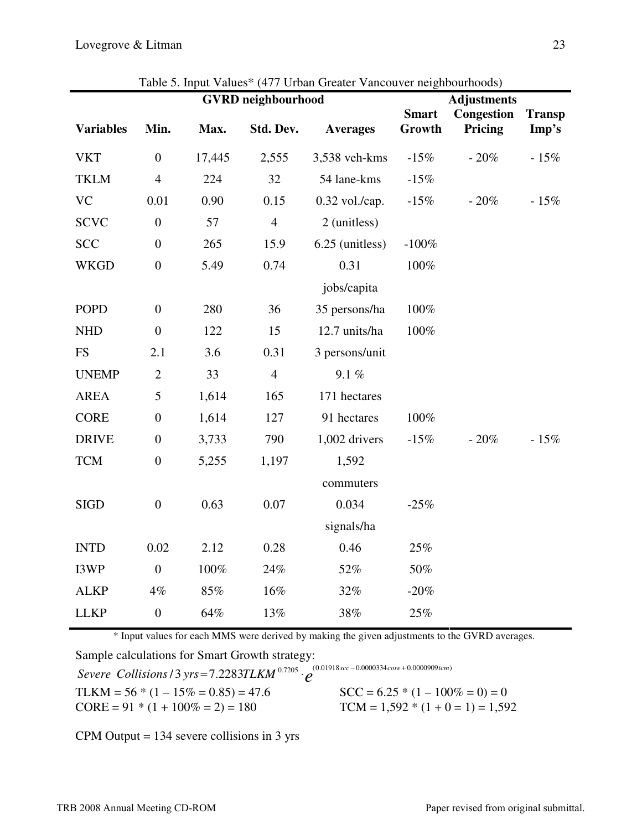| <b>GVRD</b> neighbourhood |                  |        |                |                  |                        | <b>Adjustments</b>    |                        |  |  |  |
|---------------------------|------------------|--------|----------------|------------------|------------------------|-----------------------|------------------------|--|--|--|
| <b>Variables</b>          | Min.             | Max.   | Std. Dev.      | <b>Averages</b>  | <b>Smart</b><br>Growth | Congestion<br>Pricing | <b>Transp</b><br>Imp's |  |  |  |
| <b>VKT</b>                | $\boldsymbol{0}$ | 17,445 | 2,555          | 3,538 veh-kms    | $-15%$                 | $-20%$                | $-15%$                 |  |  |  |
| <b>TKLM</b>               | $\overline{4}$   | 224    | 32             | 54 lane-kms      | $-15%$                 |                       |                        |  |  |  |
| <b>VC</b>                 | 0.01             | 0.90   | 0.15           | $0.32$ vol./cap. | $-15%$                 | $-20%$                | $-15%$                 |  |  |  |
| <b>SCVC</b>               | $\overline{0}$   | 57     | $\overline{4}$ | 2 (unitless)     |                        |                       |                        |  |  |  |
| <b>SCC</b>                | $\boldsymbol{0}$ | 265    | 15.9           | 6.25 (unitless)  | $-100%$                |                       |                        |  |  |  |
| <b>WKGD</b>               | $\boldsymbol{0}$ | 5.49   | 0.74           | 0.31             | 100%                   |                       |                        |  |  |  |
|                           |                  |        |                | jobs/capita      |                        |                       |                        |  |  |  |
| <b>POPD</b>               | $\boldsymbol{0}$ | 280    | 36             | 35 persons/ha    | 100%                   |                       |                        |  |  |  |
| <b>NHD</b>                | $\boldsymbol{0}$ | 122    | 15             | 12.7 units/ha    | 100%                   |                       |                        |  |  |  |
| <b>FS</b>                 | 2.1              | 3.6    | 0.31           | 3 persons/unit   |                        |                       |                        |  |  |  |
| <b>UNEMP</b>              | $\mathbf{2}$     | 33     | $\overline{4}$ | 9.1%             |                        |                       |                        |  |  |  |
| <b>AREA</b>               | 5                | 1,614  | 165            | 171 hectares     |                        |                       |                        |  |  |  |
| <b>CORE</b>               | $\boldsymbol{0}$ | 1,614  | 127            | 91 hectares      | 100%                   |                       |                        |  |  |  |
| <b>DRIVE</b>              | $\overline{0}$   | 3,733  | 790            | 1,002 drivers    | $-15%$                 | - 20%                 | $-15%$                 |  |  |  |
| <b>TCM</b>                | $\boldsymbol{0}$ | 5,255  | 1,197          | 1,592            |                        |                       |                        |  |  |  |
|                           |                  |        |                | commuters        |                        |                       |                        |  |  |  |
| <b>SIGD</b>               | $\boldsymbol{0}$ | 0.63   | 0.07           | 0.034            | $-25%$                 |                       |                        |  |  |  |
|                           |                  |        |                | signals/ha       |                        |                       |                        |  |  |  |
| <b>INTD</b>               | 0.02             | 2.12   | 0.28           | 0.46             | 25%                    |                       |                        |  |  |  |
| I3WP                      | $\boldsymbol{0}$ | 100%   | 24%            | 52%              | 50%                    |                       |                        |  |  |  |
| <b>ALKP</b>               | $4\%$            | 85%    | 16%            | 32%              | $-20%$                 |                       |                        |  |  |  |
| <b>LLKP</b>               | $\boldsymbol{0}$ | 64%    | 13%            | 38%              | $25\%$                 |                       |                        |  |  |  |

Table 5. Input Values\* (477 Urban Greater Vancouver neighbourhoods)

\* Input values for each MMS were derived by making the given adjustments to the GVRD averages.

Sample calculations for Smart Growth strategy:

*Severe Collisions /* 3 *yrs* = 7.2283TLKM<sup>0.7205</sup>  $\cdot e^{(0.01918sec - 0.0000334core + 0.0000909tem)}$ 

TLKM =  $56 * (1 - 15\% = 0.85) = 47.6$  SCC =  $6.25 * (1 - 100\% = 0) = 0$ 

CORE =  $91 * (1 + 100\% = 2) = 180$  TCM =  $1,592 * (1 + 0 = 1) = 1,592$ 

CPM Output = 134 severe collisions in 3 yrs